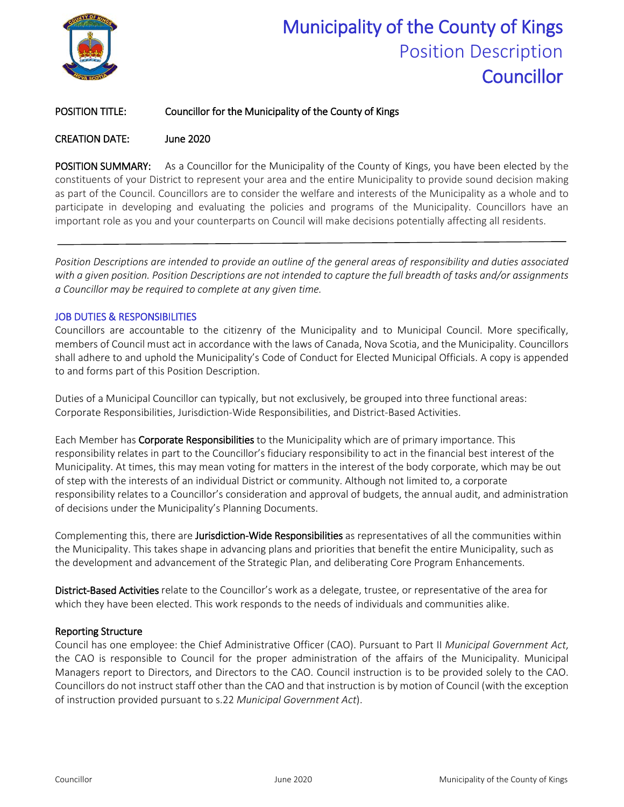

# Municipality of the County of Kings Position Description **Councillor**

#### POSITION TITLE: Councillor for the Municipality of the County of Kings

#### CREATION DATE: June 2020

POSITION SUMMARY: As a Councillor for the Municipality of the County of Kings, you have been elected by the constituents of your District to represent your area and the entire Municipality to provide sound decision making as part of the Council. Councillors are to consider the welfare and interests of the Municipality as a whole and to participate in developing and evaluating the policies and programs of the Municipality. Councillors have an important role as you and your counterparts on Council will make decisions potentially affecting all residents.

*Position Descriptions are intended to provide an outline of the general areas of responsibility and duties associated with a given position. Position Descriptions are not intended to capture the full breadth of tasks and/or assignments a Councillor may be required to complete at any given time.* 

#### JOB DUTIES & RESPONSIBILITIES

Councillors are accountable to the citizenry of the Municipality and to Municipal Council. More specifically, members of Council must act in accordance with the laws of Canada, Nova Scotia, and the Municipality. Councillors shall adhere to and uphold the Municipality's Code of Conduct for Elected Municipal Officials. A copy is appended to and forms part of this Position Description.

Duties of a Municipal Councillor can typically, but not exclusively, be grouped into three functional areas: Corporate Responsibilities, Jurisdiction-Wide Responsibilities, and District-Based Activities.

Each Member has Corporate Responsibilities to the Municipality which are of primary importance. This responsibility relates in part to the Councillor's fiduciary responsibility to act in the financial best interest of the Municipality. At times, this may mean voting for matters in the interest of the body corporate, which may be out of step with the interests of an individual District or community. Although not limited to, a corporate responsibility relates to a Councillor's consideration and approval of budgets, the annual audit, and administration of decisions under the Municipality's Planning Documents.

Complementing this, there are Jurisdiction-Wide Responsibilities as representatives of all the communities within the Municipality. This takes shape in advancing plans and priorities that benefit the entire Municipality, such as the development and advancement of the Strategic Plan, and deliberating Core Program Enhancements.

District-Based Activities relate to the Councillor's work as a delegate, trustee, or representative of the area for which they have been elected. This work responds to the needs of individuals and communities alike.

#### Reporting Structure

Council has one employee: the Chief Administrative Officer (CAO). Pursuant to Part II *Municipal Government Act*, the CAO is responsible to Council for the proper administration of the affairs of the Municipality. Municipal Managers report to Directors, and Directors to the CAO. Council instruction is to be provided solely to the CAO. Councillors do not instruct staff other than the CAO and that instruction is by motion of Council (with the exception of instruction provided pursuant to s.22 *Municipal Government Act*).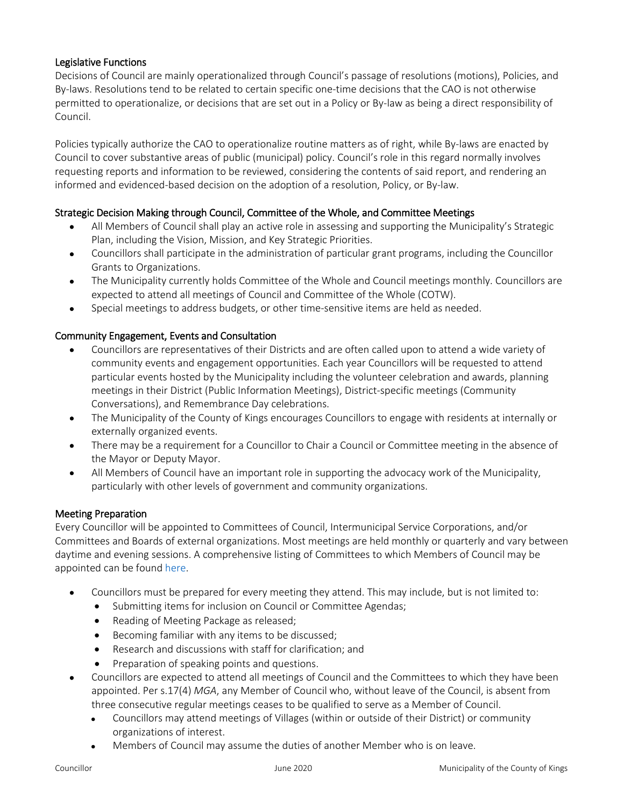#### Legislative Functions

Decisions of Council are mainly operationalized through Council's passage of resolutions (motions), Policies, and By-laws. Resolutions tend to be related to certain specific one-time decisions that the CAO is not otherwise permitted to operationalize, or decisions that are set out in a Policy or By-law as being a direct responsibility of Council.

Policies typically authorize the CAO to operationalize routine matters as of right, while By-laws are enacted by Council to cover substantive areas of public (municipal) policy. Council's role in this regard normally involves requesting reports and information to be reviewed, considering the contents of said report, and rendering an informed and evidenced-based decision on the adoption of a resolution, Policy, or By-law.

#### Strategic Decision Making through Council, Committee of the Whole, and Committee Meetings

- All Members of Council shall play an active role in assessing and supporting the Municipality's Strategic Plan, including the Vision, Mission, and Key Strategic Priorities.
- Councillors shall participate in the administration of particular grant programs, including the Councillor Grants to Organizations.
- The Municipality currently holds Committee of the Whole and Council meetings monthly. Councillors are expected to attend all meetings of Council and Committee of the Whole (COTW).
- Special meetings to address budgets, or other time-sensitive items are held as needed.

#### Community Engagement, Events and Consultation

- Councillors are representatives of their Districts and are often called upon to attend a wide variety of community events and engagement opportunities. Each year Councillors will be requested to attend particular events hosted by the Municipality including the volunteer celebration and awards, planning meetings in their District (Public Information Meetings), District-specific meetings (Community Conversations), and Remembrance Day celebrations.
- The Municipality of the County of Kings encourages Councillors to engage with residents at internally or externally organized events.
- There may be a requirement for a Councillor to Chair a Council or Committee meeting in the absence of the Mayor or Deputy Mayor.
- All Members of Council have an important role in supporting the advocacy work of the Municipality, particularly with other levels of government and community organizations.

#### Meeting Preparation

Every Councillor will be appointed to Committees of Council, Intermunicipal Service Corporations, and/or Committees and Boards of external organizations. Most meetings are held monthly or quarterly and vary between daytime and evening sessions. A comprehensive listing of Committees to which Members of Council may be appointed can be found [here.](https://www.countyofkings.ca/government/committees.aspx)

- Councillors must be prepared for every meeting they attend. This may include, but is not limited to:
	- Submitting items for inclusion on Council or Committee Agendas;
	- Reading of Meeting Package as released;
	- Becoming familiar with any items to be discussed;
	- Research and discussions with staff for clarification; and
	- Preparation of speaking points and questions.
- Councillors are expected to attend all meetings of Council and the Committees to which they have been appointed. Per s.17(4) *MGA*, any Member of Council who, without leave of the Council, is absent from three consecutive regular meetings ceases to be qualified to serve as a Member of Council.
	- Councillors may attend meetings of Villages (within or outside of their District) or community organizations of interest.
	- Members of Council may assume the duties of another Member who is on leave.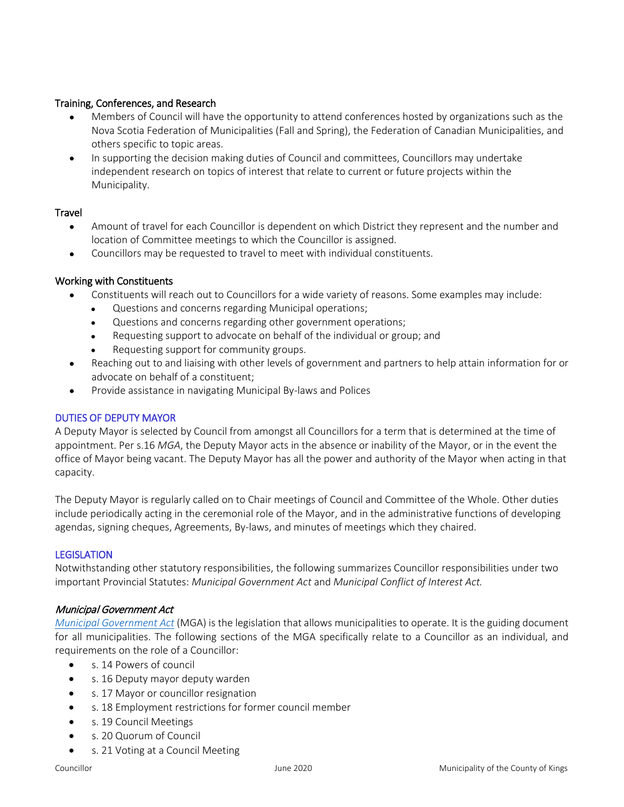#### Training, Conferences, and Research

- Members of Council will have the opportunity to attend conferences hosted by organizations such as the Nova Scotia Federation of Municipalities (Fall and Spring), the Federation of Canadian Municipalities, and others specific to topic areas.
- In supporting the decision making duties of Council and committees, Councillors may undertake independent research on topics of interest that relate to current or future projects within the Municipality.

#### **Travel**

- Amount of travel for each Councillor is dependent on which District they represent and the number and location of Committee meetings to which the Councillor is assigned.
- Councillors may be requested to travel to meet with individual constituents.

#### Working with Constituents

- Constituents will reach out to Councillors for a wide variety of reasons. Some examples may include:
	- Questions and concerns regarding Municipal operations;
	- Questions and concerns regarding other government operations;
	- Requesting support to advocate on behalf of the individual or group; and
	- Requesting support for community groups.
- Reaching out to and liaising with other levels of government and partners to help attain information for or advocate on behalf of a constituent;
- Provide assistance in navigating Municipal By-laws and Polices

#### DUTIES OF DEPUTY MAYOR

A Deputy Mayor is selected by Council from amongst all Councillors for a term that is determined at the time of appointment. Per s.16 *MGA*, the Deputy Mayor acts in the absence or inability of the Mayor, or in the event the office of Mayor being vacant. The Deputy Mayor has all the power and authority of the Mayor when acting in that capacity.

The Deputy Mayor is regularly called on to Chair meetings of Council and Committee of the Whole. Other duties include periodically acting in the ceremonial role of the Mayor, and in the administrative functions of developing agendas, signing cheques, Agreements, By-laws, and minutes of meetings which they chaired.

#### **LEGISLATION**

Notwithstanding other statutory responsibilities, the following summarizes Councillor responsibilities under two important Provincial Statutes: *Municipal Government Act* and *Municipal Conflict of Interest Act.*

#### Municipal Government Act

*[Municipal Government Act](https://nslegislature.ca/sites/default/files/legc/statutes/municipal%20government.pdf)* (MGA) is the legislation that allows municipalities to operate. It is the guiding document for all municipalities. The following sections of the MGA specifically relate to a Councillor as an individual, and requirements on the role of a Councillor:

- s. 14 Powers of council
- s. 16 Deputy mayor deputy warden
- s. 17 Mayor or councillor resignation
- s. 18 Employment restrictions for former council member
- s. 19 Council Meetings
- s. 20 Quorum of Council
- s. 21 Voting at a Council Meeting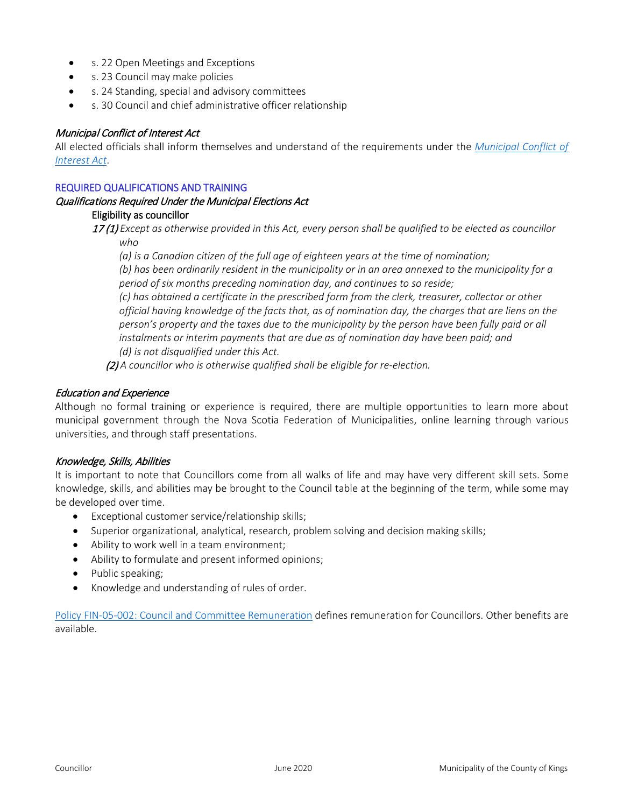- s. 22 Open Meetings and Exceptions
- s. 23 Council may make policies
- s. 24 Standing, special and advisory committees
- s. 30 Council and chief administrative officer relationship

#### Municipal Conflict of Interest Act

All elected officials shall inform themselves and understand of the requirements under the *[Municipal Conflict of](https://nslegislature.ca/sites/default/files/legc/statutes/municipal%20conflict%20of%20interest.pdf)  [Interest Act](https://nslegislature.ca/sites/default/files/legc/statutes/municipal%20conflict%20of%20interest.pdf)*.

#### REQUIRED QUALIFICATIONS AND TRAINING

### Qualifications Required Under the Municipal Elections Act

#### Eligibility as councillor

17 (1) *Except as otherwise provided in this Act, every person shall be qualified to be elected as councillor who*

*(a) is a Canadian citizen of the full age of eighteen years at the time of nomination;*

*(b) has been ordinarily resident in the municipality or in an area annexed to the municipality for a period of six months preceding nomination day, and continues to so reside;*

*(c) has obtained a certificate in the prescribed form from the clerk, treasurer, collector or other official having knowledge of the facts that, as of nomination day, the charges that are liens on the*  person's property and the taxes due to the municipality by the person have been fully paid or all *instalments or interim payments that are due as of nomination day have been paid; and (d) is not disqualified under this Act.*

(2) *A councillor who is otherwise qualified shall be eligible for re-election.* 

#### Education and Experience

Although no formal training or experience is required, there are multiple opportunities to learn more about municipal government through the Nova Scotia Federation of Municipalities, online learning through various universities, and through staff presentations.

#### Knowledge, Skills, Abilities

It is important to note that Councillors come from all walks of life and may have very different skill sets. Some knowledge, skills, and abilities may be brought to the Council table at the beginning of the term, while some may be developed over time.

- Exceptional customer service/relationship skills;
- Superior organizational, analytical, research, problem solving and decision making skills;
- Ability to work well in a team environment;
- Ability to formulate and present informed opinions;
- Public speaking;
- Knowledge and understanding of rules of order.

[Policy FIN-05-002: Council and Committee Remuneration](https://www.countyofkings.ca/upload/All_Uploads/Council/policies/Finance/FIN-05-002%20Council%20and%20Committee%20Remuneration.pdf) defines remuneration for Councillors. Other benefits are available.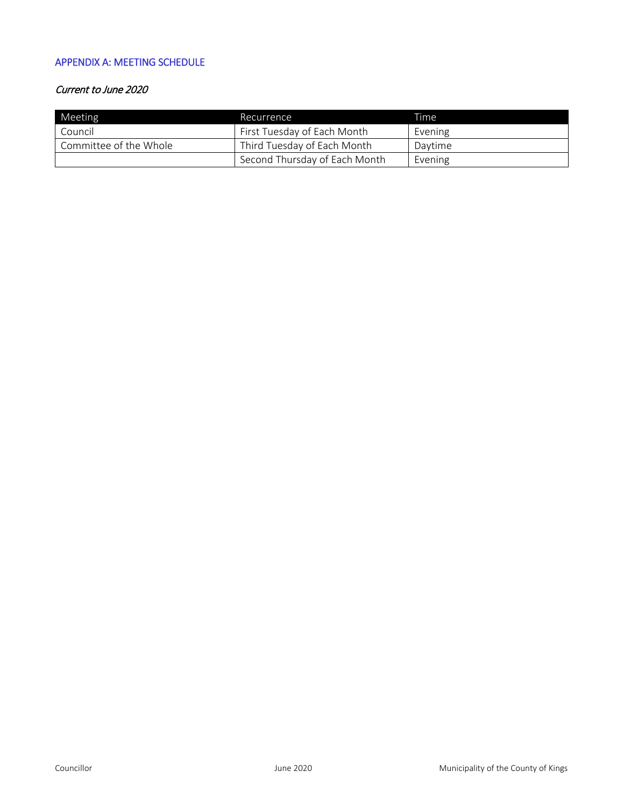#### APPENDIX A: MEETING SCHEDULE

#### Current to June 2020

| Meeting                | Recurrence                    | Time    |
|------------------------|-------------------------------|---------|
| Council                | First Tuesday of Each Month   | Evening |
| Committee of the Whole | Third Tuesday of Each Month   | Davtime |
|                        | Second Thursday of Each Month | Evening |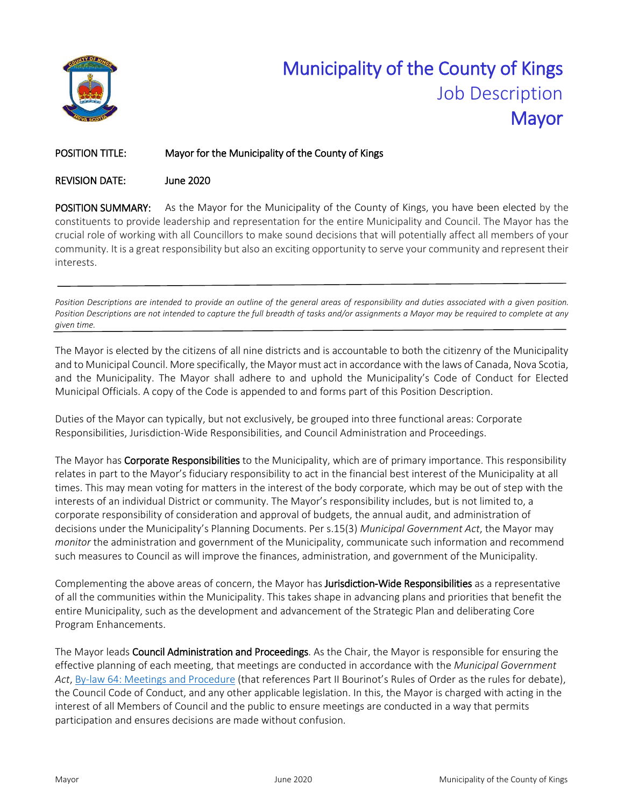

# Municipality of the County of Kings Job Description Mayor

#### POSITION TITLE: Mayor for the Municipality of the County of Kings

#### REVISION DATE: June 2020

POSITION SUMMARY: As the Mayor for the Municipality of the County of Kings, you have been elected by the constituents to provide leadership and representation for the entire Municipality and Council. The Mayor has the crucial role of working with all Councillors to make sound decisions that will potentially affect all members of your community. It is a great responsibility but also an exciting opportunity to serve your community and represent their interests.

*Position Descriptions are intended to provide an outline of the general areas of responsibility and duties associated with a given position.*  Position Descriptions are not intended to capture the full breadth of tasks and/or assignments a Mayor may be required to complete at any *given time.* 

The Mayor is elected by the citizens of all nine districts and is accountable to both the citizenry of the Municipality and to Municipal Council. More specifically, the Mayor must act in accordance with the laws of Canada, Nova Scotia, and the Municipality. The Mayor shall adhere to and uphold the Municipality's Code of Conduct for Elected Municipal Officials. A copy of the Code is appended to and forms part of this Position Description.

Duties of the Mayor can typically, but not exclusively, be grouped into three functional areas: Corporate Responsibilities, Jurisdiction-Wide Responsibilities, and Council Administration and Proceedings.

The Mayor has **Corporate Responsibilities** to the Municipality, which are of primary importance. This responsibility relates in part to the Mayor's fiduciary responsibility to act in the financial best interest of the Municipality at all times. This may mean voting for matters in the interest of the body corporate, which may be out of step with the interests of an individual District or community. The Mayor's responsibility includes, but is not limited to, a corporate responsibility of consideration and approval of budgets, the annual audit, and administration of decisions under the Municipality's Planning Documents. Per s.15(3) *Municipal Government Act*, the Mayor may *monitor* the administration and government of the Municipality, communicate such information and recommend such measures to Council as will improve the finances, administration, and government of the Municipality.

Complementing the above areas of concern, the Mayor has **Jurisdiction-Wide Responsibilities** as a representative of all the communities within the Municipality. This takes shape in advancing plans and priorities that benefit the entire Municipality, such as the development and advancement of the Strategic Plan and deliberating Core Program Enhancements.

The Mayor leads Council Administration and Proceedings. As the Chair, the Mayor is responsible for ensuring the effective planning of each meeting, that meetings are conducted in accordance with the *Municipal Government Act*[, By-law 64: Meetings and Procedure](https://www.countyofkings.ca/upload/All_Uploads/COUNCIL/Bylaws/By-law%2064%20Meetings%20and%20Procedure.pdf) (that references Part II Bourinot's Rules of Order as the rules for debate), the Council Code of Conduct, and any other applicable legislation. In this, the Mayor is charged with acting in the interest of all Members of Council and the public to ensure meetings are conducted in a way that permits participation and ensures decisions are made without confusion.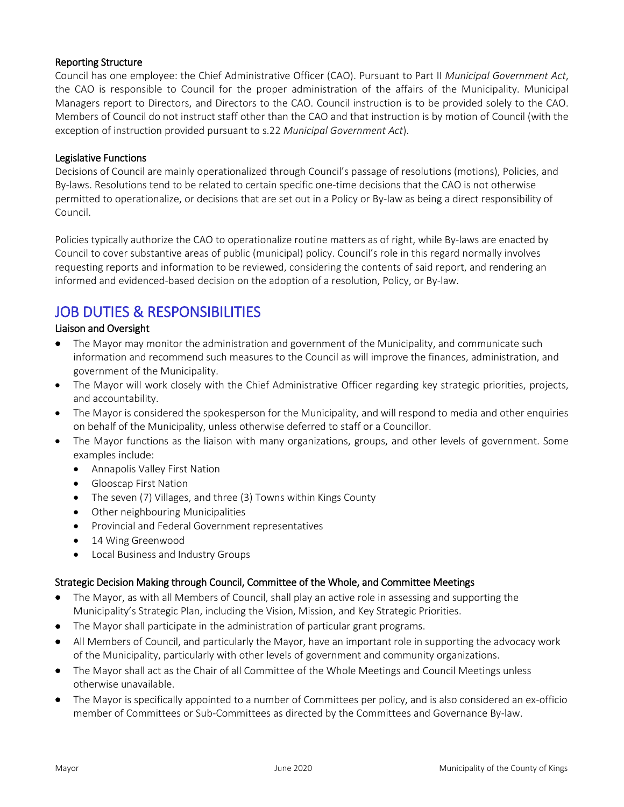#### Reporting Structure

Council has one employee: the Chief Administrative Officer (CAO). Pursuant to Part II *Municipal Government Act*, the CAO is responsible to Council for the proper administration of the affairs of the Municipality. Municipal Managers report to Directors, and Directors to the CAO. Council instruction is to be provided solely to the CAO. Members of Council do not instruct staff other than the CAO and that instruction is by motion of Council (with the exception of instruction provided pursuant to s.22 *Municipal Government Act*).

#### Legislative Functions

Decisions of Council are mainly operationalized through Council's passage of resolutions (motions), Policies, and By-laws. Resolutions tend to be related to certain specific one-time decisions that the CAO is not otherwise permitted to operationalize, or decisions that are set out in a Policy or By-law as being a direct responsibility of Council.

Policies typically authorize the CAO to operationalize routine matters as of right, while By-laws are enacted by Council to cover substantive areas of public (municipal) policy. Council's role in this regard normally involves requesting reports and information to be reviewed, considering the contents of said report, and rendering an informed and evidenced-based decision on the adoption of a resolution, Policy, or By-law.

# JOB DUTIES & RESPONSIBILITIES Liaison and Oversight

- The Mayor may monitor the administration and government of the Municipality, and communicate such information and recommend such measures to the Council as will improve the finances, administration, and government of the Municipality.
- The Mayor will work closely with the Chief Administrative Officer regarding key strategic priorities, projects, and accountability.
- The Mayor is considered the spokesperson for the Municipality, and will respond to media and other enquiries on behalf of the Municipality, unless otherwise deferred to staff or a Councillor.
- The Mayor functions as the liaison with many organizations, groups, and other levels of government. Some examples include:
	- Annapolis Valley First Nation
	- Glooscap First Nation
	- The seven (7) Villages, and three (3) Towns within Kings County
	- Other neighbouring Municipalities
	- Provincial and Federal Government representatives
	- 14 Wing Greenwood
	- Local Business and Industry Groups

#### Strategic Decision Making through Council, Committee of the Whole, and Committee Meetings

- The Mayor, as with all Members of Council, shall play an active role in assessing and supporting the Municipality's Strategic Plan, including the Vision, Mission, and Key Strategic Priorities.
- The Mayor shall participate in the administration of particular grant programs.
- All Members of Council, and particularly the Mayor, have an important role in supporting the advocacy work of the Municipality, particularly with other levels of government and community organizations.
- The Mayor shall act as the Chair of all Committee of the Whole Meetings and Council Meetings unless otherwise unavailable.
- The Mayor is specifically appointed to a number of Committees per policy, and is also considered an ex-officio member of Committees or Sub-Committees as directed by the Committees and Governance By-law.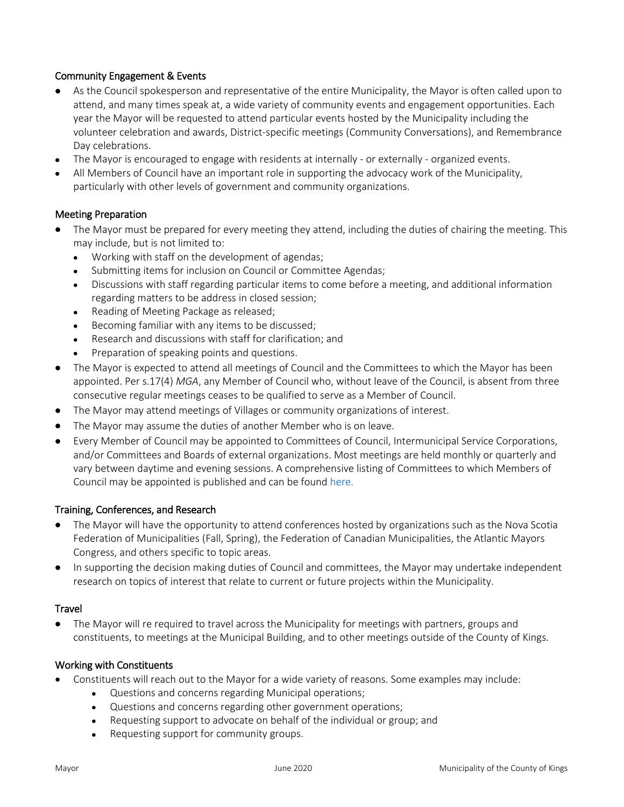#### Community Engagement & Events

- As the Council spokesperson and representative of the entire Municipality, the Mayor is often called upon to attend, and many times speak at, a wide variety of community events and engagement opportunities. Each year the Mayor will be requested to attend particular events hosted by the Municipality including the volunteer celebration and awards, District-specific meetings (Community Conversations), and Remembrance Day celebrations.
- The Mayor is encouraged to engage with residents at internally or externally organized events.
- All Members of Council have an important role in supporting the advocacy work of the Municipality, particularly with other levels of government and community organizations.

#### Meeting Preparation

- The Mayor must be prepared for every meeting they attend, including the duties of chairing the meeting. This may include, but is not limited to:
	- Working with staff on the development of agendas;
	- Submitting items for inclusion on Council or Committee Agendas;
	- Discussions with staff regarding particular items to come before a meeting, and additional information regarding matters to be address in closed session;
	- Reading of Meeting Package as released;
	- Becoming familiar with any items to be discussed;
	- Research and discussions with staff for clarification; and
	- Preparation of speaking points and questions.
- The Mayor is expected to attend all meetings of Council and the Committees to which the Mayor has been appointed. Per s.17(4) *MGA*, any Member of Council who, without leave of the Council, is absent from three consecutive regular meetings ceases to be qualified to serve as a Member of Council.
- The Mayor may attend meetings of Villages or community organizations of interest.
- The Mayor may assume the duties of another Member who is on leave.
- Every Member of Council may be appointed to Committees of Council, Intermunicipal Service Corporations, and/or Committees and Boards of external organizations. Most meetings are held monthly or quarterly and vary between daytime and evening sessions. A comprehensive listing of Committees to which Members of Council may be appointed is published and can be found [here.](https://www.countyofkings.ca/government/committees.aspx)

#### Training, Conferences, and Research

- The Mayor will have the opportunity to attend conferences hosted by organizations such as the Nova Scotia Federation of Municipalities (Fall, Spring), the Federation of Canadian Municipalities, the Atlantic Mayors Congress, and others specific to topic areas.
- In supporting the decision making duties of Council and committees, the Mayor may undertake independent research on topics of interest that relate to current or future projects within the Municipality.

#### **Travel**

• The Mayor will re required to travel across the Municipality for meetings with partners, groups and constituents, to meetings at the Municipal Building, and to other meetings outside of the County of Kings.

#### Working with Constituents

- Constituents will reach out to the Mayor for a wide variety of reasons. Some examples may include:
	- Questions and concerns regarding Municipal operations;
	- Questions and concerns regarding other government operations;
	- Requesting support to advocate on behalf of the individual or group; and
	- Requesting support for community groups.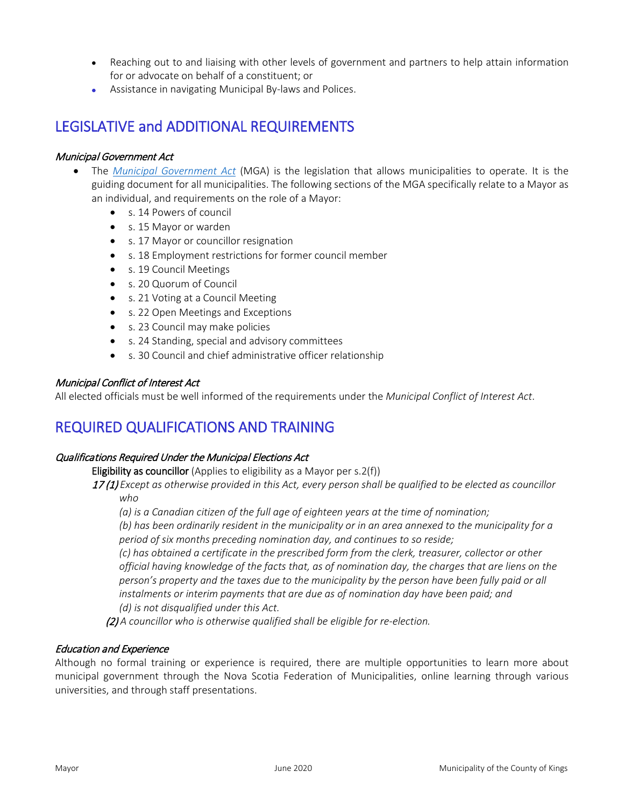- Reaching out to and liaising with other levels of government and partners to help attain information for or advocate on behalf of a constituent; or
- Assistance in navigating Municipal By-laws and Polices.

# LEGISLATIVE and ADDITIONAL REQUIREMENTS

#### Municipal Government Act

- The *[Municipal Government Act](https://nslegislature.ca/sites/default/files/legc/statutes/municipal%20government.pdf)* (MGA) is the legislation that allows municipalities to operate. It is the guiding document for all municipalities. The following sections of the MGA specifically relate to a Mayor as an individual, and requirements on the role of a Mayor:
	- s. 14 Powers of council
	- s. 15 Mayor or warden
	- s. 17 Mayor or councillor resignation
	- s. 18 Employment restrictions for former council member
	- s. 19 Council Meetings
	- s. 20 Quorum of Council
	- s. 21 Voting at a Council Meeting
	- s. 22 Open Meetings and Exceptions
	- s. 23 Council may make policies
	- s. 24 Standing, special and advisory committees
	- s. 30 Council and chief administrative officer relationship

#### Municipal Conflict of Interest Act

All elected officials must be well informed of the requirements under the *Municipal Conflict of Interest Act*.

## REQUIRED QUALIFICATIONS AND TRAINING

#### Qualifications Required Under the Municipal Elections Act

Eligibility as councillor (Applies to eligibility as a Mayor per s.2(f))

17 (1) *Except as otherwise provided in this Act, every person shall be qualified to be elected as councillor who*

*(a) is a Canadian citizen of the full age of eighteen years at the time of nomination;*

*(b) has been ordinarily resident in the municipality or in an area annexed to the municipality for a period of six months preceding nomination day, and continues to so reside;*

*(c) has obtained a certificate in the prescribed form from the clerk, treasurer, collector or other official having knowledge of the facts that, as of nomination day, the charges that are liens on the person's property and the taxes due to the municipality by the person have been fully paid or all instalments or interim payments that are due as of nomination day have been paid; and (d) is not disqualified under this Act.*

(2) *A councillor who is otherwise qualified shall be eligible for re-election.* 

#### Education and Experience

Although no formal training or experience is required, there are multiple opportunities to learn more about municipal government through the Nova Scotia Federation of Municipalities, online learning through various universities, and through staff presentations.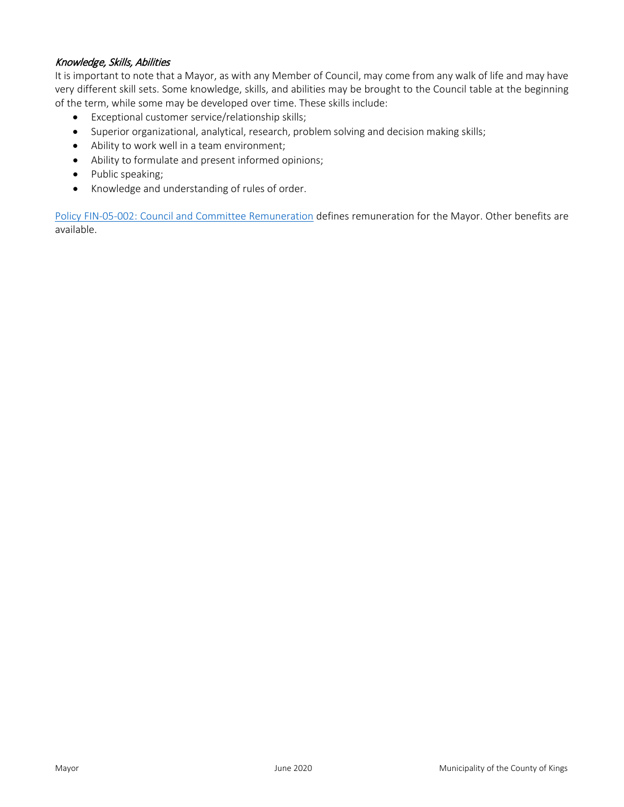#### Knowledge, Skills, Abilities

It is important to note that a Mayor, as with any Member of Council, may come from any walk of life and may have very different skill sets. Some knowledge, skills, and abilities may be brought to the Council table at the beginning of the term, while some may be developed over time. These skills include:

- Exceptional customer service/relationship skills;
- Superior organizational, analytical, research, problem solving and decision making skills;
- Ability to work well in a team environment;
- Ability to formulate and present informed opinions;
- Public speaking;
- Knowledge and understanding of rules of order.

[Policy FIN-05-002: Council and Committee Remuneration](https://www.countyofkings.ca/upload/All_Uploads/Council/policies/Finance/FIN-05-002%20Council%20and%20Committee%20Remuneration.pdf) defines remuneration for the Mayor. Other benefits are available.